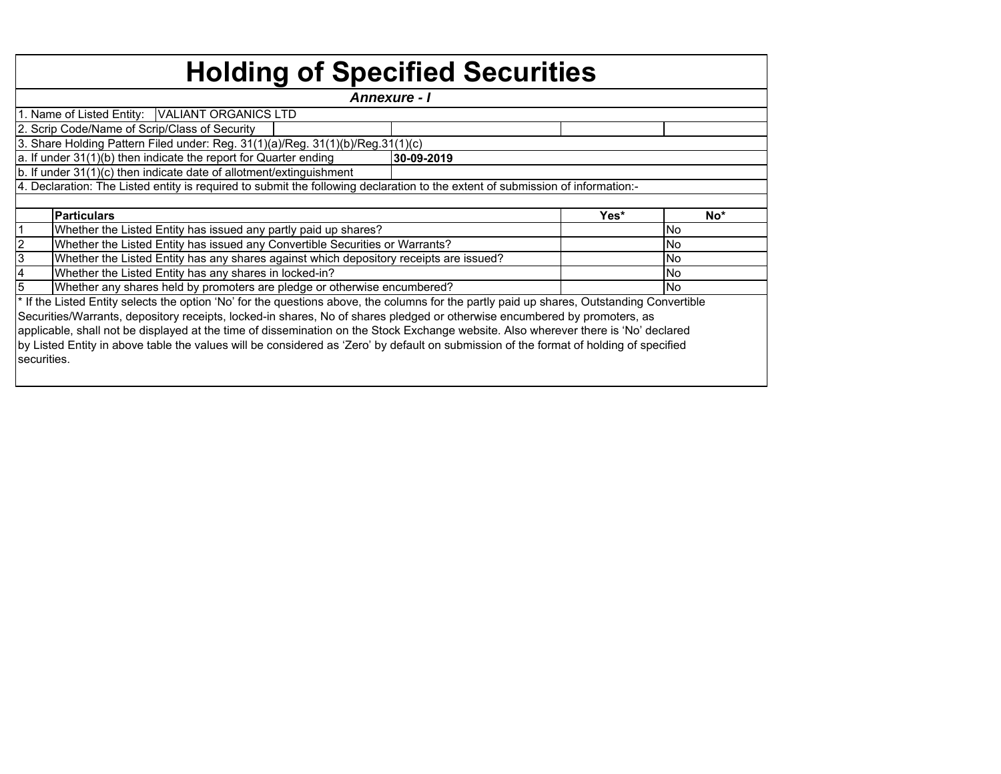| <b>Holding of Specified Securities</b>                                                                                                     |            |      |            |  |  |  |  |  |  |  |  |  |
|--------------------------------------------------------------------------------------------------------------------------------------------|------------|------|------------|--|--|--|--|--|--|--|--|--|
| <b>Annexure - I</b>                                                                                                                        |            |      |            |  |  |  |  |  |  |  |  |  |
| 1. Name of Listed Entity:   VALIANT ORGANICS LTD                                                                                           |            |      |            |  |  |  |  |  |  |  |  |  |
| 2. Scrip Code/Name of Scrip/Class of Security                                                                                              |            |      |            |  |  |  |  |  |  |  |  |  |
| 3. Share Holding Pattern Filed under: Reg. 31(1)(a)/Reg. 31(1)(b)/Reg.31(1)(c)                                                             |            |      |            |  |  |  |  |  |  |  |  |  |
| a. If under 31(1)(b) then indicate the report for Quarter ending                                                                           | 30-09-2019 |      |            |  |  |  |  |  |  |  |  |  |
| b. If under 31(1)(c) then indicate date of allotment/extinguishment                                                                        |            |      |            |  |  |  |  |  |  |  |  |  |
| 4. Declaration: The Listed entity is required to submit the following declaration to the extent of submission of information:-             |            |      |            |  |  |  |  |  |  |  |  |  |
|                                                                                                                                            |            |      |            |  |  |  |  |  |  |  |  |  |
| <b>Particulars</b>                                                                                                                         |            | Yes* | No*        |  |  |  |  |  |  |  |  |  |
| Whether the Listed Entity has issued any partly paid up shares?                                                                            |            |      | No         |  |  |  |  |  |  |  |  |  |
| Whether the Listed Entity has issued any Convertible Securities or Warrants?                                                               |            |      | <b>No</b>  |  |  |  |  |  |  |  |  |  |
| Whether the Listed Entity has any shares against which depository receipts are issued?                                                     |            |      | <b>INo</b> |  |  |  |  |  |  |  |  |  |
| Whether the Listed Entity has any shares in locked-in?                                                                                     |            |      | <b>No</b>  |  |  |  |  |  |  |  |  |  |
| Whether any shares held by promoters are pledge or otherwise encumbered?                                                                   |            |      | <b>INo</b> |  |  |  |  |  |  |  |  |  |
| * If the Listed Entity selects the option 'No' for the questions above, the columns for the partly paid up shares, Outstanding Convertible |            |      |            |  |  |  |  |  |  |  |  |  |
| Securities/Warrants, depository receipts, locked-in shares, No of shares pledged or otherwise encumbered by promoters, as                  |            |      |            |  |  |  |  |  |  |  |  |  |
| applicable, shall not be displayed at the time of dissemination on the Stock Exchange website. Also wherever there is 'No' declared        |            |      |            |  |  |  |  |  |  |  |  |  |
| by Listed Entity in above table the values will be considered as 'Zero' by default on submission of the format of holding of specified     |            |      |            |  |  |  |  |  |  |  |  |  |
| securities.                                                                                                                                |            |      |            |  |  |  |  |  |  |  |  |  |
|                                                                                                                                            |            |      |            |  |  |  |  |  |  |  |  |  |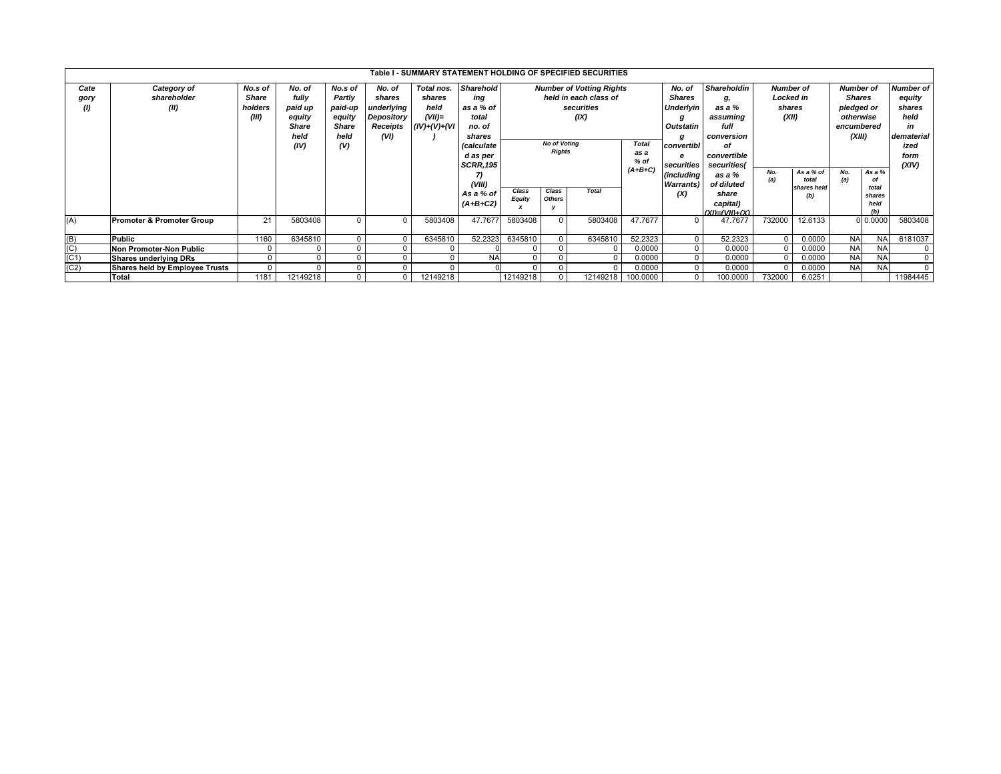|                   | Table I - SUMMARY STATEMENT HOLDING OF SPECIFIED SECURITIES |              |          |                |            |                 |                   |                     |               |                                 |              |                   |                      |                  |                  |                  |               |                  |
|-------------------|-------------------------------------------------------------|--------------|----------|----------------|------------|-----------------|-------------------|---------------------|---------------|---------------------------------|--------------|-------------------|----------------------|------------------|------------------|------------------|---------------|------------------|
| Cate              | Category of                                                 | No.s of      | No. of   | No.s of        | No. of     | Total nos.      | <b>Sharehold</b>  |                     |               | <b>Number of Votting Rights</b> |              | No. of            | <b>Shareholdin</b>   | <b>Number</b> of |                  | <b>Number of</b> |               | <b>Number of</b> |
| gory              | shareholder                                                 | <b>Share</b> | fully    | Partly         | shares     | shares          | ing               |                     |               | held in each class of           |              | Shares            |                      |                  | <b>Locked</b> in |                  | <b>Shares</b> | equity           |
| (1)               | (II)                                                        | holders      | paid up  | paid-up        | underlying | held            | as a % of         |                     |               | securities                      |              | <b>Underlyin</b>  | as a %               | shares           |                  | pledged or       |               | shares           |
|                   |                                                             | (III)        | equity   | equity         | Depository | $(VII)=$        | total             |                     |               | (IX)                            |              | g                 | assuming             | (XII)            |                  | otherwise        |               | held             |
|                   |                                                             |              | Share    | <b>Share</b>   | Receipts   | $(IV)+(V)+(VI)$ | no. of            |                     |               |                                 |              | Outstatin         | full                 |                  |                  | encumbered       |               | in               |
|                   |                                                             |              | held     | held           | (VI)       |                 | shares            |                     |               |                                 |              | g                 | conversion           |                  |                  | (XIII)           |               | dematerial       |
|                   |                                                             |              | (IV)     | (V)            |            |                 | <i>(calculate</i> | <b>No of Voting</b> |               |                                 | <b>Total</b> | convertibl        | of                   |                  |                  |                  |               |                  |
|                   |                                                             |              |          |                |            |                 | d as per          | <b>Rights</b>       |               |                                 | as a         | e                 | convertible          |                  |                  |                  |               | form             |
|                   |                                                             |              |          |                |            |                 | <b>SCRR, 195</b>  |                     |               |                                 | $%$ of       | securities        | securities(          |                  |                  |                  |               | (XIV)            |
|                   |                                                             |              |          |                |            |                 | 7)                |                     |               |                                 | $(A+B+C)$    | (including        | as a %               | No.              | As a % of        | No.              | As a %        |                  |
|                   |                                                             |              |          |                |            |                 | (VIII)            |                     |               |                                 |              | <b>Warrants</b> ) | of diluted           | (a)<br>total     |                  | (a)              | οf            |                  |
|                   |                                                             |              |          |                |            |                 | As a % of         | Class               | Class         | <b>Total</b>                    |              | (X)               | share                | shares held      |                  | total<br>shares  |               |                  |
|                   |                                                             |              |          |                |            |                 | $(A+B+C2)$        | <b>Equity</b>       | <b>Others</b> |                                 |              |                   | capital)             |                  | (b)              |                  | held          |                  |
|                   |                                                             |              |          |                |            |                 |                   |                     |               |                                 |              |                   | $(XI) = (VII) + (X)$ |                  |                  |                  | (b)           |                  |
| (A)               | <b>Promoter &amp; Promoter Group</b>                        | 21           | 5803408  |                |            | 5803408         | 47.7677           | 5803408             |               | 5803408                         | 47.7677      | $\Omega$          | 47.7677              | 732000           | 12.6133          |                  | 0.0000        | 5803408          |
|                   |                                                             |              |          |                |            |                 |                   |                     |               |                                 |              |                   |                      |                  |                  |                  |               |                  |
| $\frac{(B)}{(C)}$ | <b>Public</b>                                               | 1160         | 6345810  |                |            | 6345810         | 52.2323           | 6345810             |               | 6345810                         | 52.2323      | $\mathbf 0$       | 52.2323              |                  | 0.0000           | <b>NA</b>        | <b>NA</b>     | 6181037          |
|                   | <b>Non Promoter-Non Public</b>                              |              |          |                |            |                 |                   |                     |               |                                 | 0.0000       | $\overline{0}$    | 0.0000               |                  | 0.0000           | <b>NA</b>        | <b>NA</b>     | $^{\circ}$       |
|                   | <b>Shares underlying DRs</b>                                |              |          |                |            |                 | <b>NA</b>         | $\Omega$            |               | $\Omega$                        | 0.0000       | $\mathbf 0$       | 0.0000               |                  | 0.0000           | <b>NA</b>        | <b>NA</b>     | $\mathbf{0}$     |
| (C2)              | Shares held by Employee Trusts                              |              |          |                |            |                 |                   | $\Omega$            |               | $\Omega$                        | 0.0000       | $\mathbf 0$       | 0.0000               |                  | 0.0000           | <b>NA</b>        | <b>NA</b>     | $\mathbf{0}$     |
|                   | <b>Total</b>                                                | 1181         | 12149218 | $\overline{0}$ |            | 12149218        |                   | 12149218            |               | 12149218                        | 100.0000     | $\mathbf 0$       | 100.0000             | 732000           | 6.0251           |                  |               | 11984445         |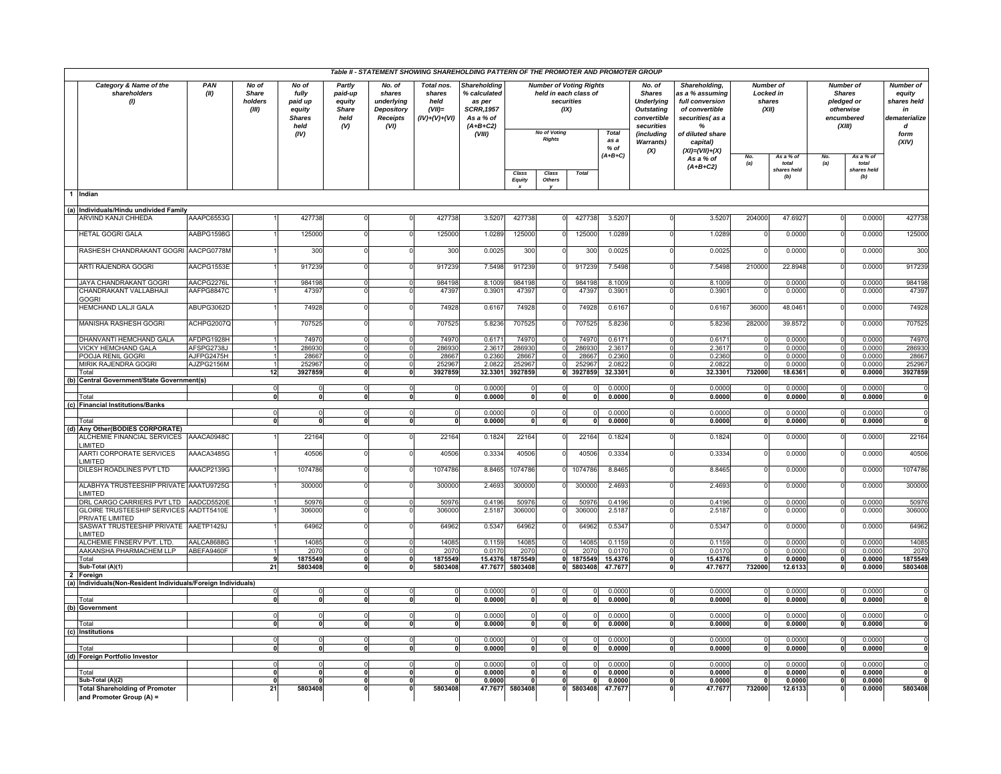|     |                                                                      |                          | Table II - STATEMENT SHOWING SHAREHOLDING PATTERN OF THE PROMOTER AND PROMOTER GROUP |                                                                      |                                                            |                                                                                |                                                              |                                                                                                         |                                                                                                                       |                 |                                           |                  |                                                                                                                                         |                                                                                                                                                       |                         |                                                                      |                                                                                                          |                             |                                                                                        |
|-----|----------------------------------------------------------------------|--------------------------|--------------------------------------------------------------------------------------|----------------------------------------------------------------------|------------------------------------------------------------|--------------------------------------------------------------------------------|--------------------------------------------------------------|---------------------------------------------------------------------------------------------------------|-----------------------------------------------------------------------------------------------------------------------|-----------------|-------------------------------------------|------------------|-----------------------------------------------------------------------------------------------------------------------------------------|-------------------------------------------------------------------------------------------------------------------------------------------------------|-------------------------|----------------------------------------------------------------------|----------------------------------------------------------------------------------------------------------|-----------------------------|----------------------------------------------------------------------------------------|
|     | Category & Name of the<br>shareholders<br>$\left( \mathbf{0}\right)$ | PAN<br>(II)              | No of<br>Share<br>holders<br>(III)                                                   | No of<br>fully<br>paid up<br>equity<br><b>Shares</b><br>held<br>(IV) | Partly<br>paid-up<br>equity<br><b>Share</b><br>held<br>(V) | No. of<br>shares<br>underlying<br><b>Depository</b><br><b>Receipts</b><br>(VI) | Total nos.<br>shares<br>held<br>$(VII)$ =<br>$(IV)+(V)+(VI)$ | <b>Shareholding</b><br>% calculated<br>as per<br><b>SCRR, 1957</b><br>As a % of<br>$(A+B+C2)$<br>(VIII) | <b>Number of Voting Rights</b><br>held in each class of<br>securities<br>(IX)<br><b>No of Voting</b><br><b>Rights</b> |                 | <b>Total</b><br>as a<br>% of<br>$(A+B+C)$ |                  | No. of<br><b>Shares</b><br><b>Underlying</b><br><b>Outstating</b><br>convertible<br>securities<br>(including<br><b>Warrants)</b><br>(X) | Shareholding,<br>as a % assuming<br>full conversion<br>of convertible<br>securities(as a<br>%<br>of diluted share<br>capital)<br>$(XI) = (VII) + (X)$ | No.                     | <b>Number of</b><br><b>Locked in</b><br>shares<br>(XII)<br>$Asa%$ of | <b>Number of</b><br><b>Shares</b><br>pledged or<br>otherwise<br>encumbered<br>(XIII)<br>As a % of<br>No. |                             | <b>Number of</b><br>equity<br>shares held<br>in<br>dematerialize<br>d<br>form<br>(XIV) |
|     |                                                                      |                          |                                                                                      |                                                                      |                                                            |                                                                                |                                                              |                                                                                                         | Class<br>Equity                                                                                                       | Class<br>Others | <b>Total</b>                              |                  |                                                                                                                                         | As a % of<br>$(A+B+C2)$                                                                                                                               | (a)                     | total<br>shares held<br>(b)                                          | (a)                                                                                                      | total<br>shares held<br>(b) |                                                                                        |
|     | 1 Indian                                                             |                          |                                                                                      |                                                                      |                                                            |                                                                                |                                                              |                                                                                                         |                                                                                                                       |                 |                                           |                  |                                                                                                                                         |                                                                                                                                                       |                         |                                                                      |                                                                                                          |                             |                                                                                        |
|     | (a) Individuals/Hindu undivided Family                               |                          |                                                                                      |                                                                      |                                                            |                                                                                |                                                              |                                                                                                         |                                                                                                                       |                 |                                           |                  |                                                                                                                                         |                                                                                                                                                       |                         |                                                                      |                                                                                                          |                             |                                                                                        |
|     | ARVIND KANJI CHHEDA                                                  | AAAPC6553G               |                                                                                      | 427738                                                               |                                                            |                                                                                | 427738                                                       | 3.5207                                                                                                  | 427738                                                                                                                |                 | 427738                                    | 3.5207           |                                                                                                                                         | 3.5207                                                                                                                                                | 204000                  | 47.692                                                               |                                                                                                          | 0.0000                      | 427738                                                                                 |
|     | <b>HETAL GOGRI GALA</b>                                              | AABPG1598G               |                                                                                      | 125000                                                               |                                                            |                                                                                | 125000                                                       | 1.0289                                                                                                  | 125000                                                                                                                |                 | 125000                                    | 1.0289           |                                                                                                                                         | 1.0289                                                                                                                                                |                         | 0.0000                                                               |                                                                                                          | 0.0000                      | 125000                                                                                 |
|     | RASHESH CHANDRAKANT GOGRI AACPG0778M                                 |                          |                                                                                      | 300                                                                  |                                                            |                                                                                | 300                                                          | 0.0025                                                                                                  | 300                                                                                                                   |                 | 300                                       | 0.0025           |                                                                                                                                         | 0.0025                                                                                                                                                |                         | 0.000                                                                |                                                                                                          | 0.0000                      | 300                                                                                    |
|     | ARTI RAJENDRA GOGRI                                                  | AACPG1553E               |                                                                                      | 917239                                                               |                                                            |                                                                                | 917239                                                       | 7.5498                                                                                                  | 917239                                                                                                                |                 | 917239                                    | 7.5498           |                                                                                                                                         | 7.5498                                                                                                                                                | 21000                   | 22.8948                                                              |                                                                                                          | 0.0000                      | 917239                                                                                 |
|     | JAYA CHANDRAKANT GOGRI                                               | AACPG2276L               |                                                                                      | 984198                                                               |                                                            |                                                                                | 984198                                                       | 8.1009                                                                                                  | 984198                                                                                                                |                 | 984198                                    | 8.1009           |                                                                                                                                         | 8.1009                                                                                                                                                |                         | 0.0000                                                               |                                                                                                          | 0.0000                      | 984198                                                                                 |
|     | CHANDRAKANT VALLABHAJI<br><b>GOGRI</b>                               | AAFPG8847C               |                                                                                      | 47397                                                                |                                                            |                                                                                | 47397                                                        | 0.390                                                                                                   | 4739                                                                                                                  |                 | 4739                                      | 0.390'           |                                                                                                                                         | 0.390 <sup>o</sup>                                                                                                                                    |                         | 0.000                                                                |                                                                                                          | 0.0000                      | 47397                                                                                  |
|     | HEMCHAND LALJI GALA                                                  | ABUPG3062D               |                                                                                      | 74928                                                                |                                                            |                                                                                | 74928                                                        | 0.6167                                                                                                  | 74928                                                                                                                 |                 | 74928                                     | 0.6167           |                                                                                                                                         | 0.6167                                                                                                                                                | 36000                   | 48.046                                                               |                                                                                                          | 0.0000                      | 74928                                                                                  |
|     | <b>MANISHA RASHESH GOGRI</b>                                         | ACHPG2007Q               |                                                                                      | 707525                                                               |                                                            |                                                                                | 707525                                                       | 5.8236                                                                                                  | 707525                                                                                                                |                 | 70752                                     | 5.8236           |                                                                                                                                         | 5.8236                                                                                                                                                | 282000                  | 39.857                                                               |                                                                                                          | 0.0000                      | 707525                                                                                 |
|     | DHANVANTI HEMCHAND GALA                                              | AFDPG1928H               |                                                                                      | 74970                                                                |                                                            |                                                                                | 74970                                                        | 0.6171                                                                                                  | 74970                                                                                                                 |                 | 74970                                     | 0.6171           | $\Omega$                                                                                                                                | 0.6171                                                                                                                                                |                         | 0.0000                                                               |                                                                                                          | 0.0000                      | 74970                                                                                  |
|     | VICKY HEMCHAND GALA<br>POOJA RENIL GOGRI                             | AFSPG2738J<br>AJFPG2475H |                                                                                      | 286930<br>28667                                                      | $\Omega$                                                   | <sup>0</sup>                                                                   | 286930<br>28667                                              | 2.3617<br>0.2360                                                                                        | 286930<br>28667                                                                                                       |                 | 286930<br>28667                           | 2.3617<br>0.2360 | $\Omega$<br>$\Omega$                                                                                                                    | 2.3617<br>0.2360                                                                                                                                      | $\Omega$                | 0.0000<br>0.0000                                                     | $\Omega$<br>$\Omega$                                                                                     | 0.0000<br>0.0000            | 286930<br>28667                                                                        |
|     | MIRIK RAJENDRA GOGRI                                                 | AJZPG2156M               |                                                                                      | 252967                                                               |                                                            |                                                                                | 252967                                                       | 2.082                                                                                                   | 252967                                                                                                                |                 | 252967                                    | 2.0822           | $\Omega$                                                                                                                                | 2.0822                                                                                                                                                |                         | 0.000                                                                |                                                                                                          | 0.0000                      | 252967                                                                                 |
|     | Total                                                                |                          | 12                                                                                   | 3927859                                                              | $\mathbf{0}$                                               | $\mathbf{0}$                                                                   | 3927859                                                      | 32.3301                                                                                                 | 3927859                                                                                                               |                 | 3927859                                   | 32.3301          | $\mathbf{0}$                                                                                                                            | 32.3301                                                                                                                                               | 732000                  | 18.6361                                                              | $\mathbf{0}$                                                                                             | 0.0000                      | 3927859                                                                                |
| (b) | <b>Central Government/State Government(s)</b>                        |                          |                                                                                      |                                                                      |                                                            |                                                                                |                                                              |                                                                                                         |                                                                                                                       |                 |                                           |                  |                                                                                                                                         |                                                                                                                                                       |                         |                                                                      |                                                                                                          |                             |                                                                                        |
|     | Total                                                                |                          | 0                                                                                    | 0<br>$\overline{\mathbf{0}}$                                         | ō                                                          | $\Omega$                                                                       | $\Omega$                                                     | 0.000<br>0.0000                                                                                         | $\Omega$                                                                                                              |                 |                                           | 0.0000<br>0.0000 | $\Omega$                                                                                                                                | 0.0000<br>0.0000                                                                                                                                      | $\mathbf{0}$            | 0.000C<br>0.0000                                                     | $\mathbf{0}$                                                                                             | 0.0000<br>0.0000            | $\Omega$                                                                               |
|     | (c) Financial Institutions/Banks                                     |                          |                                                                                      |                                                                      |                                                            |                                                                                |                                                              |                                                                                                         |                                                                                                                       |                 |                                           |                  |                                                                                                                                         |                                                                                                                                                       |                         |                                                                      |                                                                                                          |                             |                                                                                        |
|     |                                                                      |                          | $\Omega$                                                                             | $\Omega$                                                             |                                                            | $\Omega$                                                                       |                                                              | 0.0000                                                                                                  | $\Omega$                                                                                                              |                 | $\Omega$                                  | 0.0000           | b                                                                                                                                       | 0.0000                                                                                                                                                | $\overline{0}$          | 0.0000                                                               | $\Omega$                                                                                                 | 0.0000                      | ō                                                                                      |
|     | Total<br>(d) Any Other(BODIES CORPORATE)                             |                          |                                                                                      | $\overline{0}$                                                       |                                                            |                                                                                |                                                              | 0.0000                                                                                                  |                                                                                                                       |                 |                                           | 0.0000           | э                                                                                                                                       | 0.0000                                                                                                                                                | $\overline{0}$          | 0.0000                                                               |                                                                                                          | 0.0000                      | э.                                                                                     |
|     | ALCHEMIE FINANCIAL SERVICES                                          | AAACA0948C               |                                                                                      | 22164                                                                |                                                            |                                                                                | 22164                                                        | 0.1824                                                                                                  | 22164                                                                                                                 |                 | 22164                                     | 0.1824           | $\Omega$                                                                                                                                | 0.1824                                                                                                                                                |                         | 0.0000                                                               |                                                                                                          | 0.0000                      | 22164                                                                                  |
|     | LIMITED<br>AARTI CORPORATE SERVICES                                  | AAACA3485G               |                                                                                      | 40506                                                                |                                                            |                                                                                | 40506                                                        | 0.3334                                                                                                  | 40506                                                                                                                 |                 | 40506                                     | 0.3334           |                                                                                                                                         | 0.3334                                                                                                                                                |                         | 0.0000                                                               |                                                                                                          | 0.0000                      | 40506                                                                                  |
|     | <b>IMITED</b><br>DILESH ROADLINES PVT LTD                            | AAACP2139G               |                                                                                      | 1074786                                                              |                                                            |                                                                                | 1074786                                                      | 8.8465                                                                                                  | 1074786                                                                                                               |                 | 1074786                                   | 8.8465           |                                                                                                                                         | 8.8465                                                                                                                                                |                         | 0.000                                                                |                                                                                                          | 0.0000                      | 1074786                                                                                |
|     | ALABHYA TRUSTEESHIP PRIVATE AAATU9725G                               |                          |                                                                                      | 300000                                                               |                                                            |                                                                                | 300000                                                       | 2.4693                                                                                                  | 300000                                                                                                                |                 | 300000                                    | 2.4693           |                                                                                                                                         | 2.4693                                                                                                                                                |                         | 0.0000                                                               |                                                                                                          | 0.0000                      | 300000                                                                                 |
|     | LIMITED<br>DRL CARGO CARRIERS PVT LTD AADCD5520E                     |                          |                                                                                      | 50976                                                                |                                                            |                                                                                | 50976                                                        | 0.4196                                                                                                  | 50976                                                                                                                 |                 | 50976                                     | 0.4196           | $\Omega$                                                                                                                                | 0.4196                                                                                                                                                |                         | 0.000                                                                |                                                                                                          | 0.0000                      | 50976                                                                                  |
|     | <b>GLOIRE TRUSTEESHIP SERVICES</b>                                   | AADTT5410E               |                                                                                      | 306000                                                               |                                                            |                                                                                | 306000                                                       | 2.518                                                                                                   | 306000                                                                                                                |                 | 306000                                    | 2.5187           |                                                                                                                                         | 2.5187                                                                                                                                                |                         | 0.000                                                                |                                                                                                          | 0.0000                      | 306000                                                                                 |
|     | PRIVATE LIMITED                                                      |                          |                                                                                      |                                                                      |                                                            |                                                                                |                                                              |                                                                                                         |                                                                                                                       |                 |                                           |                  |                                                                                                                                         |                                                                                                                                                       |                         |                                                                      |                                                                                                          |                             |                                                                                        |
|     | SASWAT TRUSTEESHIP PRIVATE<br><b>IMITED</b>                          | AAETP1429J               |                                                                                      | 64962<br>14085                                                       | $\cap$                                                     |                                                                                | 64962                                                        | 0.5347<br>0.1159                                                                                        | 64962<br>14085                                                                                                        |                 | 64962<br>14085                            | 0.5347<br>0.1159 | $\Omega$                                                                                                                                | 0.5347<br>0 1159                                                                                                                                      |                         | 0.000C<br>0.000C                                                     | $\Omega$                                                                                                 | 0.0000<br>0.0000            | 64962<br>14085                                                                         |
|     | ALCHEMIE FINSERV PVT. LTD.<br>AAKANSHA PHARMACHEM LLP                | AALCA8688G<br>ABEFA9460F |                                                                                      | 2070                                                                 | $\Omega$                                                   | $\Omega$                                                                       | 14085<br>2070                                                | 0.0170                                                                                                  | 2070                                                                                                                  |                 | 2070                                      | 0.0170           | $\Omega$                                                                                                                                | 0.0170                                                                                                                                                | $\Omega$                | 0.0000                                                               | $\Omega$                                                                                                 | 0.0000                      | 2070                                                                                   |
|     | Total                                                                |                          | 9                                                                                    | 1875549                                                              | $\Omega$                                                   | $\mathbf{0}$                                                                   | 1875549                                                      | 15.4376                                                                                                 | 1875549                                                                                                               |                 | 1875549                                   | 15.4376          | $\mathbf{0}$                                                                                                                            | 15.4376                                                                                                                                               | $\Omega$                | 0.0000                                                               | $\Omega$                                                                                                 | 0.0000                      | 1875549                                                                                |
|     | Sub-Total (A)(1)                                                     |                          | 21                                                                                   | 5803408                                                              |                                                            | $\mathbf{0}$                                                                   | 5803408                                                      | 47.7677                                                                                                 | 5803408                                                                                                               |                 | 5803408                                   | 47.7677          | $\mathbf{0}$                                                                                                                            | 47.7677                                                                                                                                               | 732000                  | 12.6133                                                              | $\mathbf{0}$                                                                                             | 0.0000                      | 5803408                                                                                |
|     | Foreign<br>Individuals(Non-Resident Individuals/Foreign Individuals) |                          |                                                                                      |                                                                      |                                                            |                                                                                |                                                              |                                                                                                         |                                                                                                                       |                 |                                           |                  |                                                                                                                                         |                                                                                                                                                       |                         |                                                                      |                                                                                                          |                             |                                                                                        |
| (a) |                                                                      |                          |                                                                                      | $\overline{0}$                                                       |                                                            |                                                                                |                                                              | 0.0000                                                                                                  | $\Omega$                                                                                                              |                 | $\Omega$                                  | 0.0000           | $\Omega$                                                                                                                                | 0.0000                                                                                                                                                | $\overline{0}$          | 0.0000                                                               | $\Omega$                                                                                                 | 0.0000                      | $\Omega$                                                                               |
|     | Total                                                                |                          | $\overline{\mathbf{0}}$                                                              | $\overline{\mathbf{0}}$                                              | э                                                          | $\mathbf{0}$                                                                   | $\Omega$                                                     | 0.0000                                                                                                  | $\Omega$                                                                                                              |                 | $\mathbf{0}$                              | 0.0000           | $\mathbf{0}$                                                                                                                            | 0.0000                                                                                                                                                | $\overline{\mathbf{0}}$ | 0.0000                                                               | $\overline{0}$                                                                                           | 0.0000                      | $\Omega$                                                                               |
|     | (b) Government                                                       |                          | $\Omega$                                                                             |                                                                      |                                                            |                                                                                |                                                              |                                                                                                         |                                                                                                                       |                 |                                           |                  | $\Omega$                                                                                                                                |                                                                                                                                                       | $\Omega$                |                                                                      |                                                                                                          |                             |                                                                                        |
|     | Total                                                                |                          | 0                                                                                    | 0<br>$\overline{0}$                                                  | $\mathbf{0}$                                               | $\mathbf{0}$                                                                   | ٥I                                                           | 0.0000<br>0.0000                                                                                        | $\Omega$<br>0                                                                                                         |                 | ٥I                                        | 0.0000<br>0.0000 | $\mathbf{0}$                                                                                                                            | 0.0000<br>0.0000                                                                                                                                      | $\mathbf{r}$            | 0.000C<br>0.0000                                                     | 0                                                                                                        | 0.0000<br>0.0000            |                                                                                        |
|     | (c) Institutions                                                     |                          |                                                                                      |                                                                      |                                                            |                                                                                |                                                              |                                                                                                         |                                                                                                                       |                 |                                           |                  |                                                                                                                                         |                                                                                                                                                       |                         |                                                                      |                                                                                                          |                             |                                                                                        |
|     |                                                                      |                          | $\Omega$                                                                             | $\Omega$                                                             | $\Omega$                                                   | $\Omega$                                                                       |                                                              | 0.0000                                                                                                  | $\Omega$                                                                                                              |                 | $\Omega$                                  | 0.0000           | $\Omega$                                                                                                                                | 0.0000                                                                                                                                                | $\Omega$                | 0.000C                                                               | $\Omega$                                                                                                 | 0.0000                      | $\Omega$                                                                               |
|     | Total<br>(d) Foreign Portfolio Investor                              |                          | $\mathbf{0}$                                                                         | $\mathbf{0}$                                                         | $\mathbf{0}$                                               | $\mathbf{0}$                                                                   | $\mathbf{0}$                                                 | 0.0000                                                                                                  | $\mathbf{0}$                                                                                                          |                 | $\mathbf{0}$                              | 0.0000           | $\mathbf 0$                                                                                                                             | 0.0000                                                                                                                                                | $\Omega$                | 0.0000                                                               | $\mathbf{0}$                                                                                             | 0.0000                      | $\Omega$                                                                               |
|     |                                                                      |                          | 0                                                                                    | 0                                                                    | $\Omega$                                                   | $\overline{0}$                                                                 |                                                              | 0.0000                                                                                                  | $\overline{0}$                                                                                                        |                 |                                           | 0.0000           | $\overline{0}$                                                                                                                          | 0.0000                                                                                                                                                | $\overline{0}$          | 0.0000                                                               | $\Omega$                                                                                                 | 0.0000                      | $\mathbf 0$                                                                            |
|     | Tota                                                                 |                          |                                                                                      | $\mathbf{0}$                                                         | $\mathbf{0}$                                               |                                                                                |                                                              | 0.0000                                                                                                  | 0                                                                                                                     |                 |                                           | 0.0000           |                                                                                                                                         | 0.0000                                                                                                                                                |                         | 0.0000                                                               | $\mathbf 0$                                                                                              | 0.0000                      |                                                                                        |
|     | Sub-Total (A)(2)                                                     |                          | $\mathbf{0}$                                                                         | $\Omega$                                                             | ō                                                          |                                                                                |                                                              | 0.0000                                                                                                  | $\mathbf{r}$                                                                                                          |                 |                                           | 0.0000           | $\Omega$                                                                                                                                | 0.0000                                                                                                                                                | $\Omega$                | 0.0000                                                               | $\mathbf{0}$                                                                                             | 0.0000                      |                                                                                        |
|     | <b>Total Shareholding of Promoter</b><br>and Promoter Group (A) =    |                          | 21                                                                                   | 5803408                                                              |                                                            |                                                                                | 5803408                                                      | 47.7677                                                                                                 | 5803408                                                                                                               |                 | 5803408                                   | 47.7677          |                                                                                                                                         | 47.7677                                                                                                                                               | 732000                  | 12.6133                                                              |                                                                                                          | 0.0000                      | 5803408                                                                                |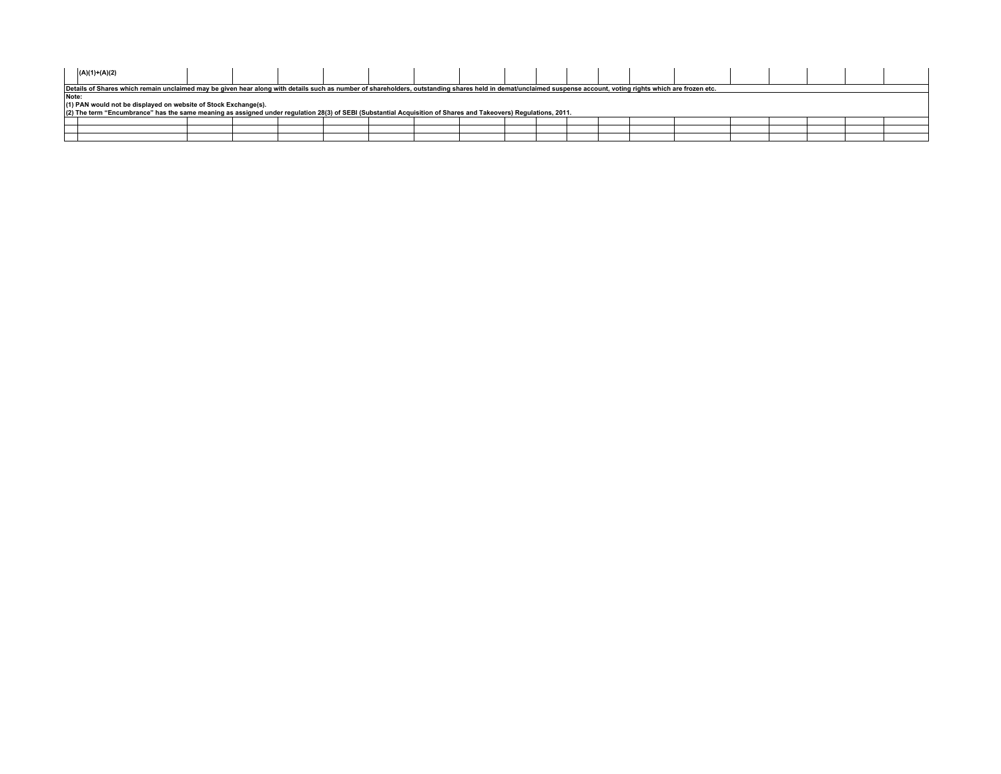|                                                                 | $(A)(1)+(A)(2)$                                                                                                                                                                                                |  |  |  |  |  |  |  |  |  |  |  |  |  |  |  |  |
|-----------------------------------------------------------------|----------------------------------------------------------------------------------------------------------------------------------------------------------------------------------------------------------------|--|--|--|--|--|--|--|--|--|--|--|--|--|--|--|--|
|                                                                 | Details of Shares which remain unclaimed may be given hear along with details such as number of shareholders, outstanding shares held in demat/unclaimed suspense account, voting rights which are frozen etc. |  |  |  |  |  |  |  |  |  |  |  |  |  |  |  |  |
|                                                                 | Note:                                                                                                                                                                                                          |  |  |  |  |  |  |  |  |  |  |  |  |  |  |  |  |
| (1) PAN would not be displayed on website of Stock Exchange(s). |                                                                                                                                                                                                                |  |  |  |  |  |  |  |  |  |  |  |  |  |  |  |  |
|                                                                 | (2) The term "Encumbrance" has the same meaning as assigned under regulation 28(3) of SEBI (Substantial Acquisition of Shares and Takeovers) Regulations, 2011.                                                |  |  |  |  |  |  |  |  |  |  |  |  |  |  |  |  |
|                                                                 |                                                                                                                                                                                                                |  |  |  |  |  |  |  |  |  |  |  |  |  |  |  |  |
|                                                                 |                                                                                                                                                                                                                |  |  |  |  |  |  |  |  |  |  |  |  |  |  |  |  |
|                                                                 |                                                                                                                                                                                                                |  |  |  |  |  |  |  |  |  |  |  |  |  |  |  |  |